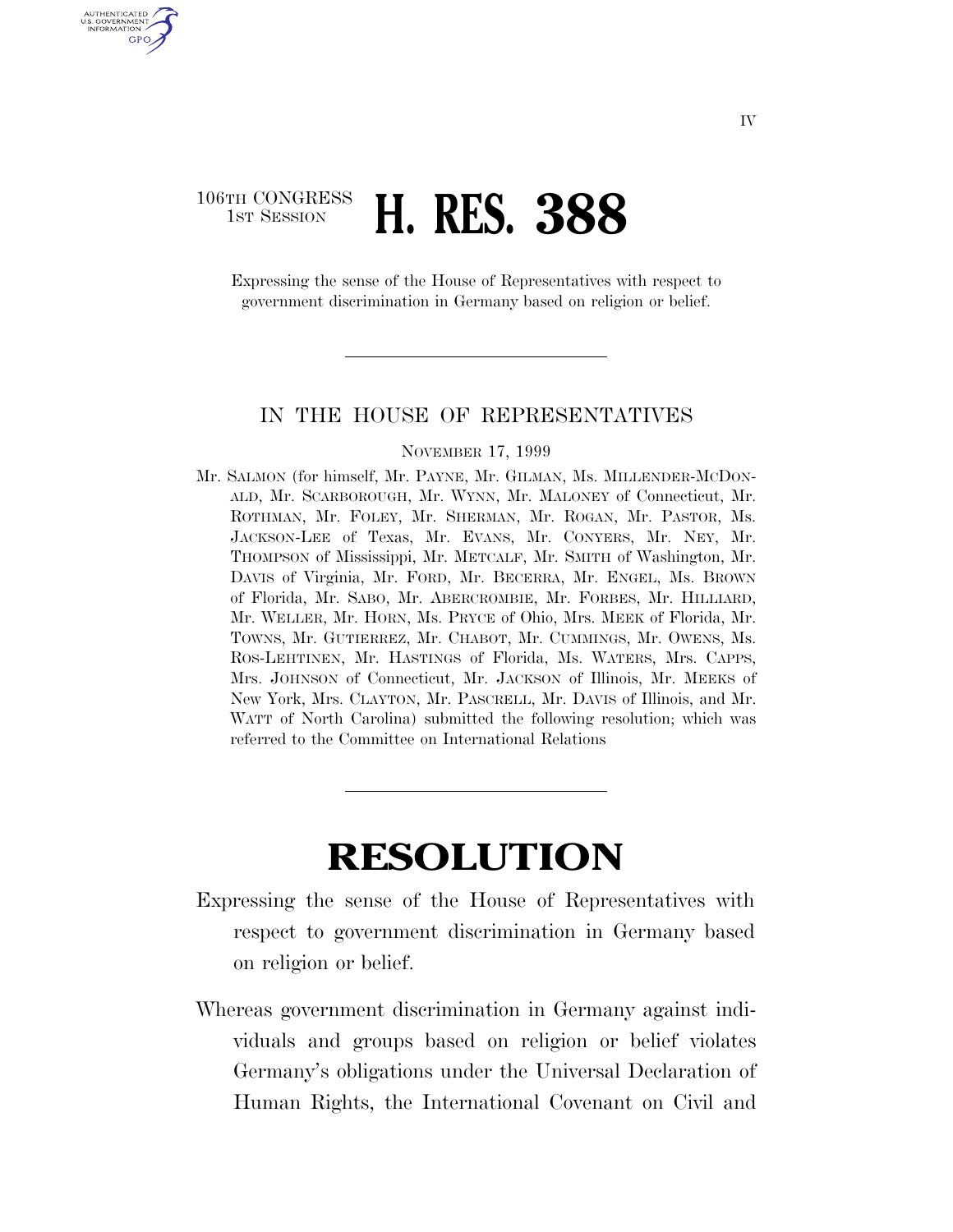## 106TH CONGRESS **1ST SESSION <b>H. RES. 388**

U.S. GOVERNMENT GPO

> Expressing the sense of the House of Representatives with respect to government discrimination in Germany based on religion or belief.

#### IN THE HOUSE OF REPRESENTATIVES

#### NOVEMBER 17, 1999

Mr. SALMON (for himself, Mr. PAYNE, Mr. GILMAN, Ms. MILLENDER-MCDON-ALD, Mr. SCARBOROUGH, Mr. WYNN, Mr. MALONEY of Connecticut, Mr. ROTHMAN, Mr. FOLEY, Mr. SHERMAN, Mr. ROGAN, Mr. PASTOR, Ms. JACKSON-LEE of Texas, Mr. EVANS, Mr. CONYERS, Mr. NEY, Mr. THOMPSON of Mississippi, Mr. METCALF, Mr. SMITH of Washington, Mr. DAVIS of Virginia, Mr. FORD, Mr. BECERRA, Mr. ENGEL, Ms. BROWN of Florida, Mr. SABO, Mr. ABERCROMBIE, Mr. FORBES, Mr. HILLIARD, Mr. WELLER, Mr. HORN, Ms. PRYCE of Ohio, Mrs. MEEK of Florida, Mr. TOWNS, Mr. GUTIERREZ, Mr. CHABOT, Mr. CUMMINGS, Mr. OWENS, Ms. ROS-LEHTINEN, Mr. HASTINGS of Florida, Ms. WATERS, Mrs. CAPPS, Mrs. JOHNSON of Connecticut, Mr. JACKSON of Illinois, Mr. MEEKS of New York, Mrs. CLAYTON, Mr. PASCRELL, Mr. DAVIS of Illinois, and Mr. WATT of North Carolina) submitted the following resolution; which was referred to the Committee on International Relations

# **RESOLUTION**

- Expressing the sense of the House of Representatives with respect to government discrimination in Germany based on religion or belief.
- Whereas government discrimination in Germany against individuals and groups based on religion or belief violates Germany's obligations under the Universal Declaration of Human Rights, the International Covenant on Civil and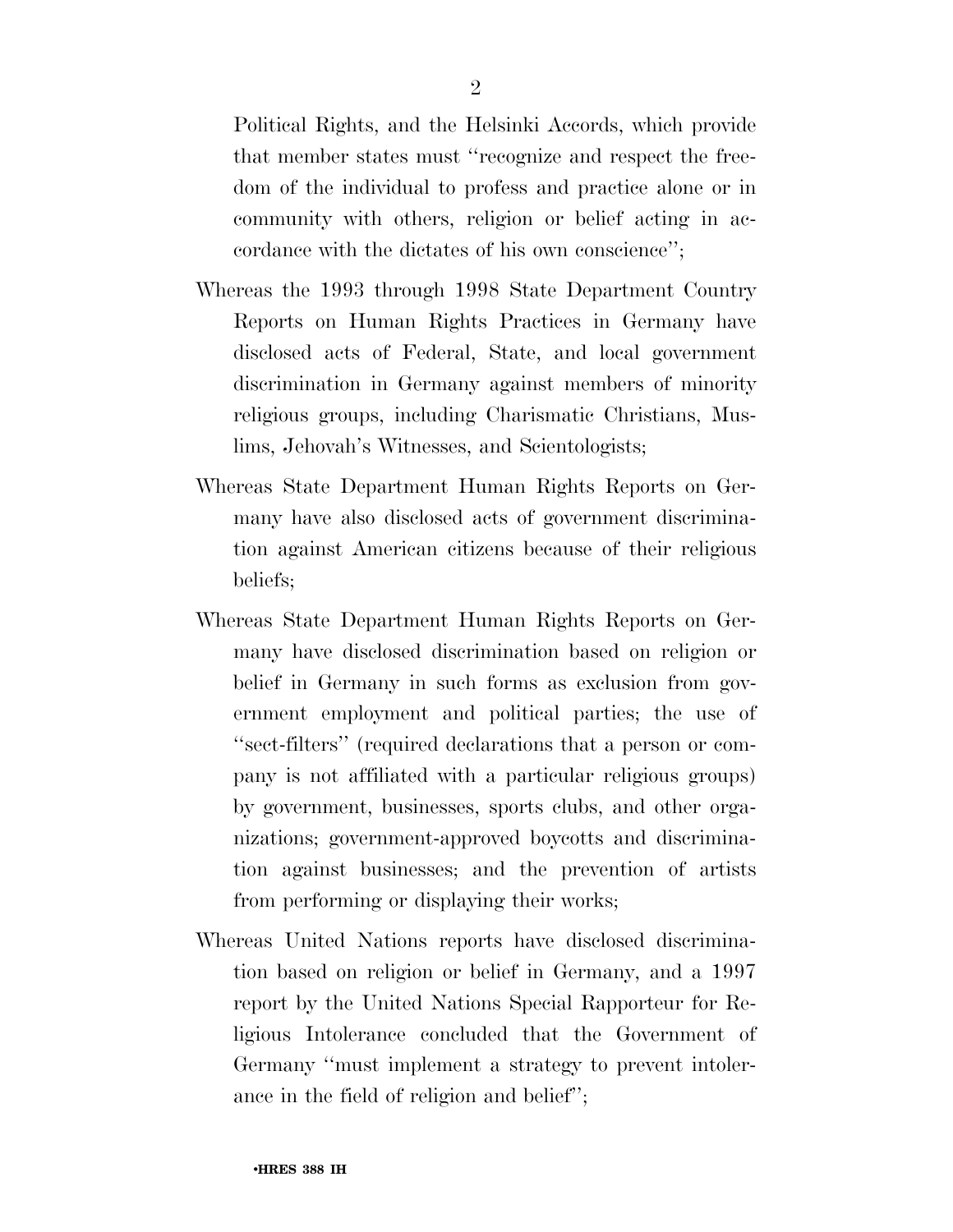Political Rights, and the Helsinki Accords, which provide that member states must ''recognize and respect the freedom of the individual to profess and practice alone or in community with others, religion or belief acting in accordance with the dictates of his own conscience'';

- Whereas the 1993 through 1998 State Department Country Reports on Human Rights Practices in Germany have disclosed acts of Federal, State, and local government discrimination in Germany against members of minority religious groups, including Charismatic Christians, Muslims, Jehovah's Witnesses, and Scientologists;
- Whereas State Department Human Rights Reports on Germany have also disclosed acts of government discrimination against American citizens because of their religious beliefs;
- Whereas State Department Human Rights Reports on Germany have disclosed discrimination based on religion or belief in Germany in such forms as exclusion from government employment and political parties; the use of ''sect-filters'' (required declarations that a person or company is not affiliated with a particular religious groups) by government, businesses, sports clubs, and other organizations; government-approved boycotts and discrimination against businesses; and the prevention of artists from performing or displaying their works;
- Whereas United Nations reports have disclosed discrimination based on religion or belief in Germany, and a 1997 report by the United Nations Special Rapporteur for Religious Intolerance concluded that the Government of Germany ''must implement a strategy to prevent intolerance in the field of religion and belief'';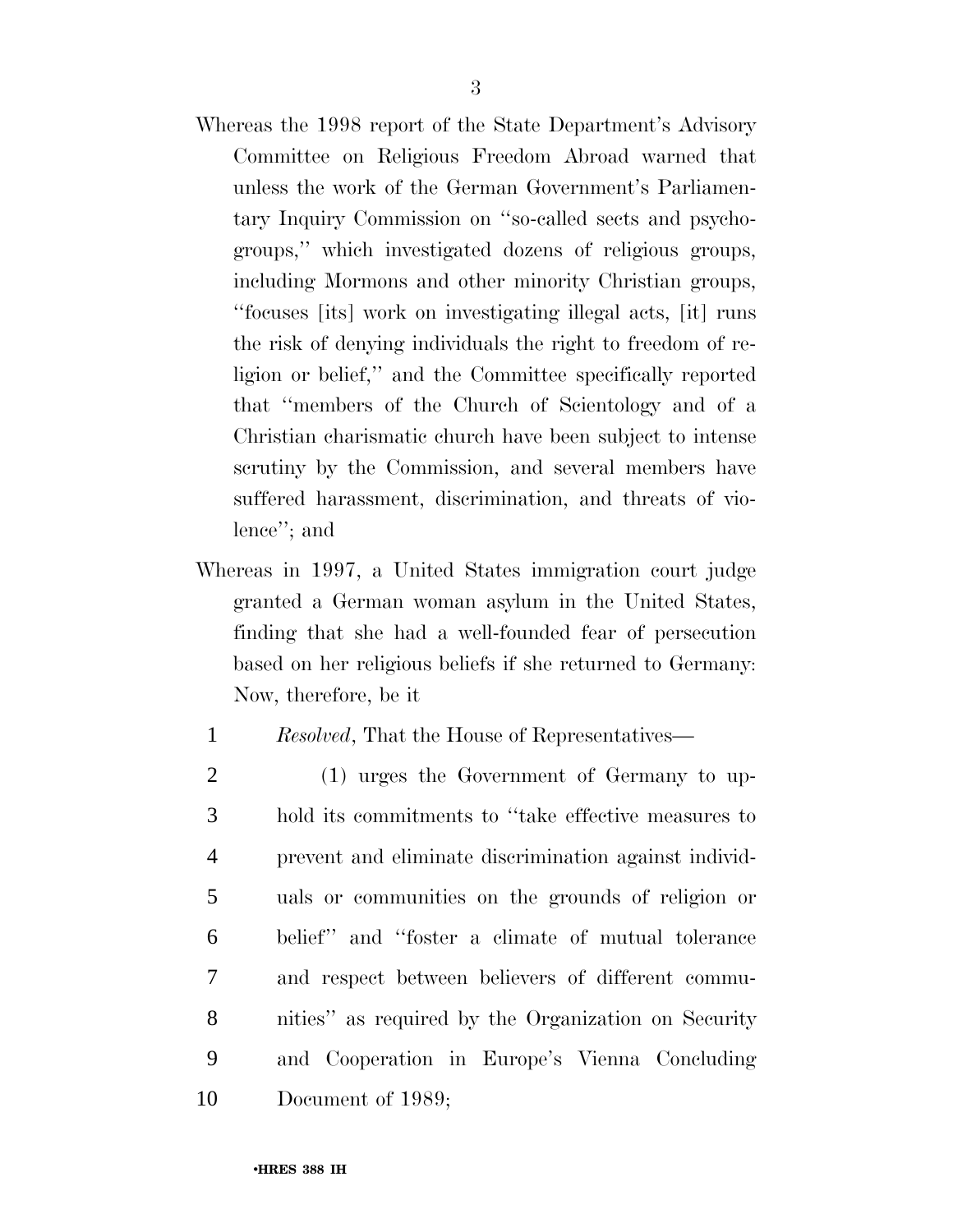- Whereas the 1998 report of the State Department's Advisory Committee on Religious Freedom Abroad warned that unless the work of the German Government's Parliamentary Inquiry Commission on ''so-called sects and psychogroups,'' which investigated dozens of religious groups, including Mormons and other minority Christian groups, ''focuses [its] work on investigating illegal acts, [it] runs the risk of denying individuals the right to freedom of religion or belief,'' and the Committee specifically reported that ''members of the Church of Scientology and of a Christian charismatic church have been subject to intense scrutiny by the Commission, and several members have suffered harassment, discrimination, and threats of violence''; and
- Whereas in 1997, a United States immigration court judge granted a German woman asylum in the United States, finding that she had a well-founded fear of persecution based on her religious beliefs if she returned to Germany: Now, therefore, be it

### 1 *Resolved*, That the House of Representatives—

 (1) urges the Government of Germany to up- hold its commitments to ''take effective measures to prevent and eliminate discrimination against individ- uals or communities on the grounds of religion or belief'' and ''foster a climate of mutual tolerance and respect between believers of different commu- nities'' as required by the Organization on Security and Cooperation in Europe's Vienna Concluding Document of 1989;